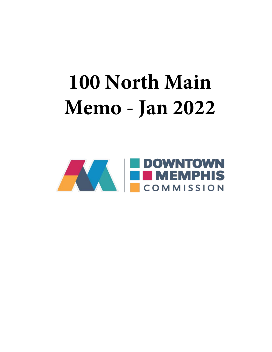# **100 North Main Memo - Jan 2022**

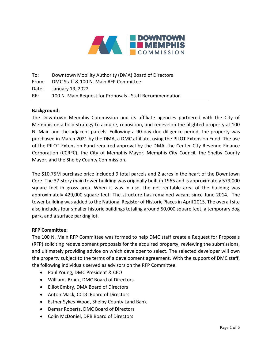

To: Downtown Mobility Authority (DMA) Board of Directors From: DMC Staff & 100 N. Main RFP Committee Date: January 19, 2022 RE: 100 N. Main Request for Proposals - Staff Recommendation

## **Background:**

The Downtown Memphis Commission and its affiliate agencies partnered with the City of Memphis on a bold strategy to acquire, reposition, and redevelop the blighted property at 100 N. Main and the adjacent parcels. Following a 90-day due diligence period, the property was purchased in March 2021 by the DMA, a DMC affiliate, using the PILOT Extension Fund. The use of the PILOT Extension Fund required approval by the DMA, the Center City Revenue Finance Corporation (CCRFC), the City of Memphis Mayor, Memphis City Council, the Shelby County Mayor, and the Shelby County Commission.

The \$10.75M purchase price included 9 total parcels and 2 acres in the heart of the Downtown Core. The 37-story main tower building was originally built in 1965 and is approximately 579,000 square feet in gross area. When it was in use, the net rentable area of the building was approximately 429,000 square feet. The structure has remained vacant since June 2014. The tower building was added to the National Register of Historic Places in April 2015. The overall site also includes four smaller historic buildings totaling around 50,000 square feet, a temporary dog park, and a surface parking lot.

## **RFP Committee:**

The 100 N. Main RFP Committee was formed to help DMC staff create a Request for Proposals (RFP) soliciting redevelopment proposals for the acquired property, reviewing the submissions, and ultimately providing advice on which developer to select. The selected developer will own the property subject to the terms of a development agreement. With the support of DMC staff, the following individuals served as advisors on the RFP Committee:

- Paul Young, DMC President & CEO
- Williams Brack, DMC Board of Directors
- Elliot Embry, DMA Board of Directors
- Anton Mack, CCDC Board of Directors
- Esther Sykes-Wood, Shelby County Land Bank
- Demar Roberts, DMC Board of Directors
- Colin McDoniel, DRB Board of Directors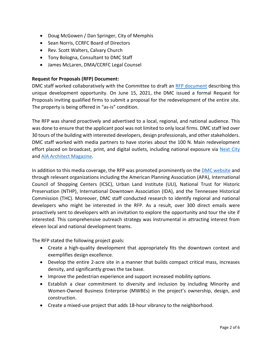- Doug McGowen / Dan Springer, City of Memphis
- Sean Norris, CCRFC Board of Directors
- Rev. Scott Walters, Calvary Church
- Tony Bologna, Consultant to DMC Staff
- James McLaren, DMA/CCRFC Legal Counsel

# **Request for Proposals (RFP) Document:**

DMC staff worked collaboratively with the Committee to draft an [RFP document](https://issuu.com/downtownmemphis9/docs/100_n_main_rfp) describing this unique development opportunity. On June 15, 2021, the DMC issued a formal Request for Proposals inviting qualified firms to submit a proposal for the redevelopment of the entire site. The property is being offered in "as-is" condition.

The RFP was shared proactively and advertised to a local, regional, and national audience. This was done to ensure that the applicant pool was not limited to only local firms. DMC staff led over 30 tours of the building with interested developers, design professionals, and other stakeholders. DMC staff worked with media partners to have stories about the 100 N. Main redevelopment effort placed on broadcast, print, and digital outlets, including national exposure via [Next City](https://nextcity.org/urbanist-news/utilizing-creative-blight-strategy-to-save-a-neighborhood) and [AIA Architect](https://www.architectmagazine.com/aia-architect/aiafuture/the-rebirth-of-memphis-100-n-main_o) Magazine.

In addition to this media coverage, the RFP was promoted prominently on the **DMC** website and through relevant organizations including the American Planning Association (APA), International Council of Shopping Centers (ICSC), Urban Land Institute (ULI), National Trust for Historic Preservation (NTHP), International Downtown Association (IDA), and the Tennessee Historical Commission (THC). Moreover, DMC staff conducted research to identify regional and national developers who might be interested in the RFP. As a result, over 300 direct emails were proactively sent to developers with an invitation to explore the opportunity and tour the site if interested. This comprehensive outreach strategy was instrumental in attracting interest from eleven local and national development teams.

The RFP stated the following project goals:

- Create a high-quality development that appropriately fits the downtown context and exemplifies design excellence.
- Develop the entire 2-acre site in a manner that builds compact critical mass, increases density, and significantly grows the tax base.
- Improve the pedestrian experience and support increased mobility options.
- Establish a clear commitment to diversity and inclusion by including Minority and Women-Owned Business Enterprise (MWBEs) in the project's ownership, design, and construction.
- Create a mixed-use project that adds 18-hour vibrancy to the neighborhood.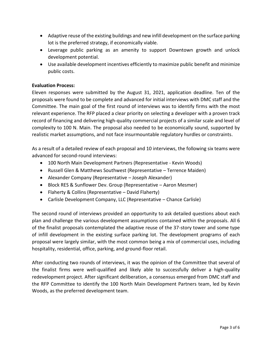- Adaptive reuse of the existing buildings and new infill development on the surface parking lot is the preferred strategy, if economically viable.
- Leverage public parking as an amenity to support Downtown growth and unlock development potential.
- Use available development incentives efficiently to maximize public benefit and minimize public costs.

# **Evaluation Process:**

Eleven responses were submitted by the August 31, 2021, application deadline. Ten of the proposals were found to be complete and advanced for initial interviews with DMC staff and the Committee. The main goal of the first round of interviews was to identify firms with the most relevant experience. The RFP placed a clear priority on selecting a developer with a proven track record of financing and delivering high-quality commercial projects of a similar scale and level of complexity to 100 N. Main. The proposal also needed to be economically sound, supported by realistic market assumptions, and not face insurmountable regulatory hurdles or constraints.

As a result of a detailed review of each proposal and 10 interviews, the following six teams were advanced for second-round interviews:

- 100 North Main Development Partners (Representative Kevin Woods)
- Russell Glen & Matthews Southwest (Representative Terrence Maiden)
- Alexander Company (Representative Joseph Alexander)
- Block RES & Sunflower Dev. Group (Representative Aaron Mesmer)
- Flaherty & Collins (Representative David Flaherty)
- Carlisle Development Company, LLC (Representative Chance Carlisle)

The second round of interviews provided an opportunity to ask detailed questions about each plan and challenge the various development assumptions contained within the proposals. All 6 of the finalist proposals contemplated the adaptive reuse of the 37-story tower and some type of infill development in the existing surface parking lot. The development programs of each proposal were largely similar, with the most common being a mix of commercial uses, including hospitality, residential, office, parking, and ground-floor retail.

After conducting two rounds of interviews, it was the opinion of the Committee that several of the finalist firms were well-qualified and likely able to successfully deliver a high-quality redevelopment project. After significant deliberation, a consensus emerged from DMC staff and the RFP Committee to identify the 100 North Main Development Partners team, led by Kevin Woods, as the preferred development team.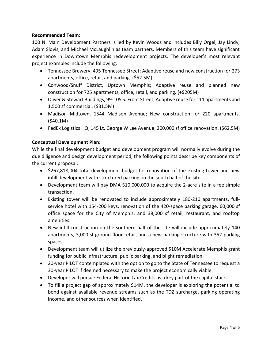# **Recommended Team:**

100 N. Main Development Partners is led by Kevin Woods and includes Billy Orgel, Jay Lindy, Adam Slovis, and Michael McLaughlin as team partners. Members of this team have significant experience in Downtown Memphis redevelopment projects. The developer's most relevant project examples include the following:

- Tennessee Brewery, 495 Tennessee Street; Adaptive reuse and new construction for 273 apartments, office, retail, and parking. (\$52.5M)
- Conwood/Snuff District, Uptown Memphis; Adaptive reuse and planned new construction for 725 apartments, office, retail, and parking. (+\$205M)
- Oliver & Stewart Buildings, 99-105 S. Front Street; Adaptive reuse for 111 apartments and 1,500 sf commercial. (\$31.5M)
- Madison Midtown, 1544 Madison Avenue; New construction for 220 apartments. (\$40.1M)
- FedEx Logistics HQ, 145 Lt. George W Lee Avenue; 200,000 sf office renovation. (\$62.5M)

# **Conceptual Development Plan:**

While the final development budget and development program will normally evolve during the due diligence and design development period, the following points describe key components of the current proposal:

- \$267,818,004 total development budget for renovation of the existing tower and new infill development with structured parking on the south half of the site.
- Development team will pay DMA \$10,000,000 to acquire the 2-acre site in a fee simple transaction.
- Existing tower will be renovated to include approximately 180-210 apartments, fullservice hotel with 154-200 keys, renovation of the 420-space parking garage, 60,000 sf office space for the City of Memphis, and 38,000 sf retail, restaurant, and rooftop amenities.
- New infill construction on the southern half of the site will include approximately 140 apartments, 3,000 sf ground-floor retail, and a new parking structure with 352 parking spaces.
- Development team will utilize the previously-approved \$10M Accelerate Memphis grant funding for public infrastructure, public parking, and blight remediation.
- 20-year PILOT contemplated with the option to go to the State of Tennessee to request a 30-year PILOT if deemed necessary to make the project economically viable.
- Developer will pursue Federal Historic Tax Credits as a key part of the capital stack.
- To fill a project gap of approximately \$14M, the developer is exploring the potential to bond against available revenue streams such as the TDZ surcharge, parking operating income, and other sources when identified.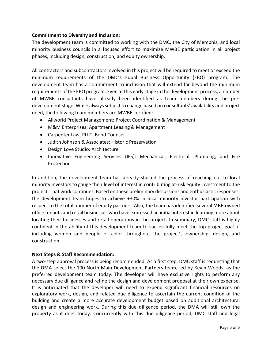# **Commitment to Diversity and Inclusion:**

The development team is committed to working with the DMC, the City of Memphis, and local minority business councils in a focused effort to maximize MWBE participation in all project phases, including design, construction, and equity ownership.

All contractors and subcontractors involved in this project will be required to meet or exceed the minimum requirements of the DMC's Equal Business Opportunity (EBO) program. The development team has a commitment to inclusion that will extend far beyond the minimum requirements of the EBO program. Even at this early stage in the development process, a number of MWBE consultants have already been identified as team members during the predevelopment stage. While always subject to change based on consultants' availability and project need, the following team members are MWBE certified:

- Allworld Project Management: Project Coordination & Management
- M&M Enterprises: Apartment Leasing & Management
- Carpenter Law, PLLC: Bond Counsel
- Judith Johnson & Associates: Historic Preservation
- Design Love Studio: Architecture
- Innovative Engineering Services (IES): Mechanical, Electrical, Plumbing, and Fire Protection

In addition, the development team has already started the process of reaching out to local minority investors to gauge their level of interest in contributing at-risk equity investment to the project. That work continues. Based on these preliminary discussions and enthusiastic responses, the development team hopes to achieve +30% in local minority investor participation with respect to the total number of equity partners. Also, the team has identified several MBE-owned office tenants and retail businesses who have expressed an initial interest in learning more about locating their businesses and retail operations in the project. In summary, DMC staff is highly confident in the ability of this development team to successfully meet the top project goal of including women and people of color throughout the project's ownership, design, and construction.

## **Next Steps & Staff Recommendation:**

A two-step approval process is being recommended. As a first step, DMC staff is requesting that the DMA select the 100 North Main Development Partners team, led by Kevin Woods, as the preferred development team today. The developer will have exclusive rights to perform any necessary due diligence and refine the design and development proposal at their own expense. It is anticipated that the developer will need to expend significant financial resources on exploratory work, design, and related due diligence to ascertain the current condition of the building and create a more accurate development budget based on additional architectural design and engineering work. During this due diligence period, the DMA will still own the property as it does today. Concurrently with this due diligence period, DMC staff and legal